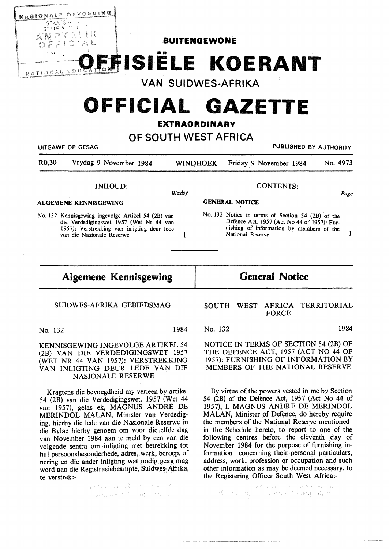

No. 132 Kennisgewing ingevolge Artikel 54 (2B) van die Verdedigingswet 1957 (Wet Nr 44 van 1957): Verstrekking van inligting deur lede van die Nasionale Reserwe 1

**General Notice** 

Defence Act, 1957 (Act No 44 of 1957): Fur-

nishing of information by members of the National Reserve 1

## SUIDWES-AFRIKA GEBIEDSMAG

**Algemene Kennisgewing** 

No. 132 1984

KENNISGEWING INGEVOLGE ARTIKEL 54 (2B) VAN DIE VERDEDIGINGSWET 1957 (WET NR 44 VAN 1957): VERSTREKKING VAN INLIGTING DEUR LEDE VAN DIE NASIONALE RESERWE

Kragtens die bevoegdheid my verleen by artikel 54 (2B) van die Verdedigingswet, 1957 (Wet 44 van 1957), gelas ek, MAGNUS ANDRE DE MERINDOL MALAN, Minister van Verdediging, hierby die lede van die Nasionale Reserwe in die Bylae hierby genoem om voor die elfde dag van November 1984 aan te meld by een van die volgende sentra om inligting met betrekking tot hul persoonsbesonderhede, adres, werk, beroep, of nering en die ander inligting wat nodig geag mag word aan die Registrasiebeampte, Suidwes-Afrika, te verstrek:-

> $\mu(\mathbf{q})_{\mathbf{a}}(\mathbf{S})$  and  $\mathbf{W}$  and  $\mathbf{e}$  ,  $\mathbf{e}^{\prime}$  and  $\mathbf{e}^{\prime}$ Assembly 1928 Wormstrum

## SOUTH WEST AFRICA TERRITORIAL FORCE

No. 132 1984

NOTICE IN TERMS OF SECTION 54 (2B) OF THE DEFENCE ACT, 1957 (ACT NO 44 OF 1957): FURNISHING OF INFORMATION BY MEMBERS OF THE NATIONAL RESERVE

By virtue of the powers vested in me by Section 54 (2B) of the Defence Act, 1957 (Act No 44 of 1957), I, MAGNUS ANDRE DE MERINDOL **MALAN,** Minister of Defence, do hereby require the members of the National Reserve mentioned in the Schedule hereto, to report to one of the following centres before the eleventh day of November 1984 for the purpose of furnishing information concerning their personal particulars, address, work, profession or occupation and such other information as may be deemed necessary, to the Registering Officer South West Africa:-

الملاحية والأرحاء والمواكلات والتقويل والوهم ASH H. Saniq Teagurow" esampein qui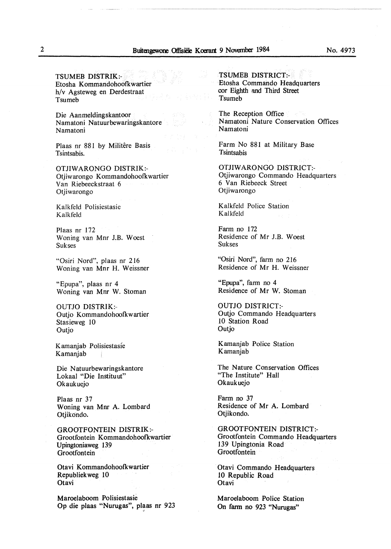**TSUMEB DISTRIK:-** Etosha Kommandohoofkwartier h/v Agsteweg en Derdestraat Tsumeb

Die Aanmeldingskantoor Namatoni Natuurbewaringskantore Namatoni

Plaas nr 881 by Militêre Basis Tsintsabis.

**OTJIWARONGO DISTRIK:-** Otiiwarongo Kommandohoofkwartier Van Riebeeckstraat 6 Otjiwarongo

Kalkfeld Polisiestasie Kalkfeld

Plaas nr 172 Woning van Mnr J.B. Woest Sukses

"Osiri Nord", plaas nr 216 Woning van Mnr H. Weissner

"Epupa", plaas nr 4 Woning van Mnr W. Stoman

OUTJO DISTRIK:- Outjo Kommandohoofkwartier Stasieweg 10 Outjo

Kamanjab Polisiestasie Kamanjab

Die Natuurbewaringskantore Lokaal "Die Instituut" Okaukuejo

Plaas nr 37 Woning van Mnr A. Lombard Otjikondo.

GROOTFONTEIN DISTRIK:- Grootfontein Kommandohoofkwartier Upingtoniaweg 139 Grootfontein

Otavi Kommandohoofkwartier Republiekweg 10 **Otavi** 

Maroelaboom Polisiestasie Op die pJaas "Nurugas", plaas nr 923

TSUMEB DISTRICT:- Etosha Commando Headquarters cor Eighth and Third Street Tsumeb

The Reception Office Namatoni Nature Conservation Offices Namatoni

Farm No 881 at Military Base Tsintsabis

OTJIWARONGO DISTRICT:- Otjiwarongo Commando Headquarters 6 Van Riebeeck Street Otjiwarongo

Kalkfeld Police Station Kalkfeld

Farm no 172 Residence of Mr J.B. Woest Sukses

"Osiri Nord", farm no 216 Residence of Mr H. Weissner

"Epupa", farm no 4 Residence of Mr W. Stoman

OUTJO DISTRICT:- Outjo Commando Headquarters 10 Station Road Outjo

Kamanjab Police Station Kamanjab

The Nature Conservation Offices "The Institute" Hall Okaukuejo

Farm no 37 Residence of Mr A. Lombard Otjikondo.

GROOTFONTEIN DISTRICT:- Grootfontein Commando Headquarters 139 Upingtonia Road **Grootfontein** 

Otavi Commando Headquarters 10 Republic Road **Otavi** 

Maroelaboom Police Station On farm no 923 "Nurugas"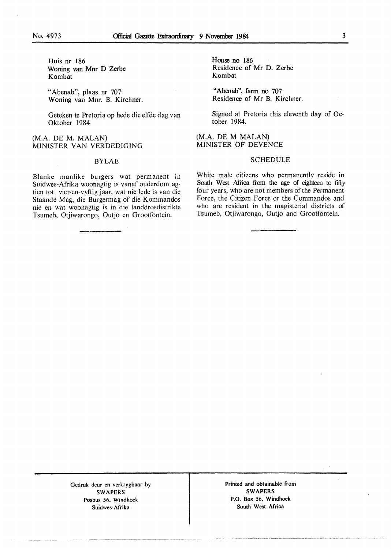Huis nr 186 Woning van Mnr D Zerbe Kombat

"Abenab", plaas nr 707 Woning van Mnr. B. Kirchner.

Geteken te Pretoria op hede die elfde dag van Oktober 1984

(M.A. DE M. MALAN) MINISTER VAN VERDEDIGING

## BYLAE

Blanke manlike burgers wat permanent in Suidwes-Afrika woonagtig is vanaf ouderdom agtien tot vier-en-vyftig jaar, wat nie lede is van die Staande Mag, die Burgermag of die Kommandos nie en wat woonagtig is in die landdrosdistrikte Tsumeb, Otjiwarongo, Outjo en Grootfontein.

House no 186 Residence of Mr D. Zerbe Kombat

"Abenab", farm no 707 Residence of Mr B. Kirchner.

Signed at Pretoria this eleventh day of October 1984.

(M.A. DE M MALAN) MINISTER OF DEVENCE

## SCHEDULE

White male citizens who permanently reside in South West Africa from the age of eighteen to fifty four years, who are not members of the Permanent Force, the Citizen Force or the Commandos and who are resident in the magisterial districts of Tsumeb, Otjiwarongo, Outjo and Grootfontein.

Gedruk deur en verkrygbaar by **SWAPERS**  Posbus 56. Windhoek Suidwes-Afrika